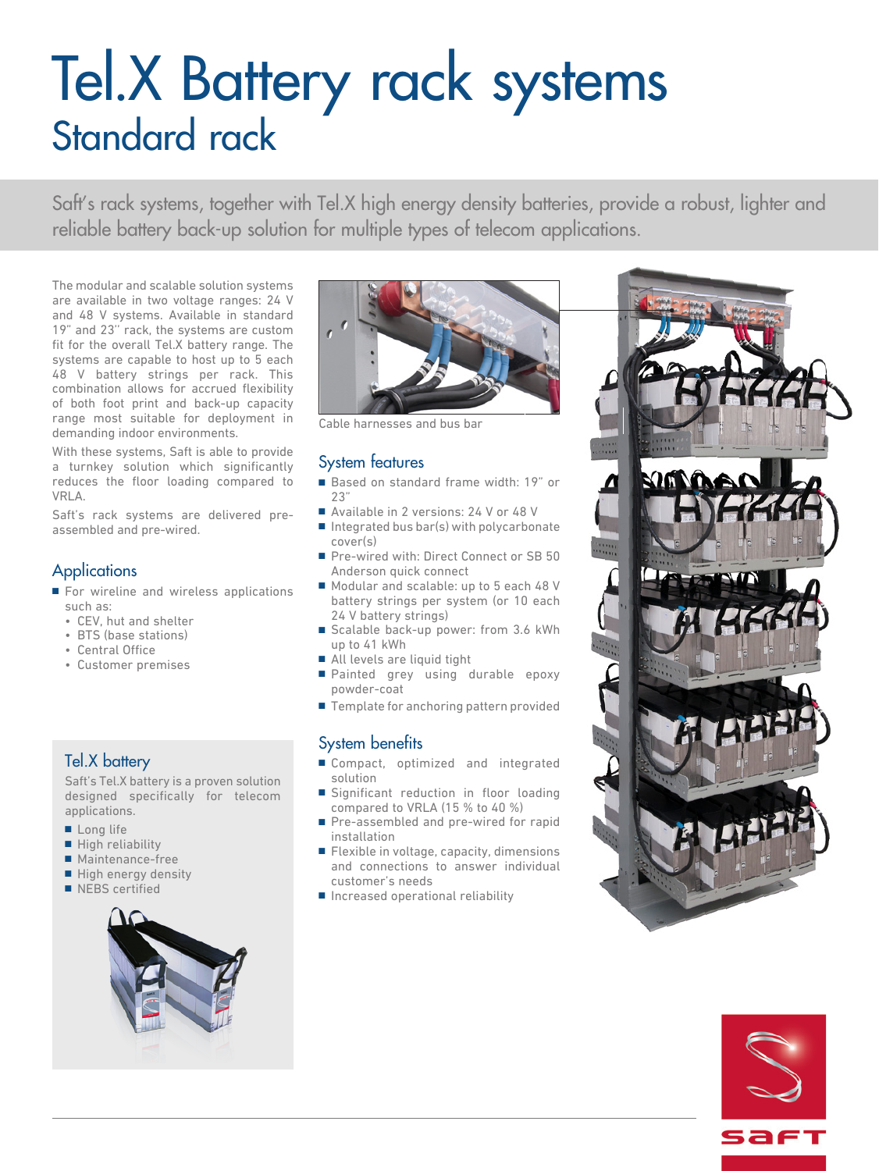# Tel.X Battery rack systems Standard rack

Saft's rack systems, together with Tel.X high energy density batteries, provide a robust, lighter and reliable battery back-up solution for multiple types of telecom applications.

The modular and scalable solution systems are available in two voltage ranges: 24 V and 48 V systems. Available in standard 19" and 23'' rack, the systems are custom fit for the overall Tel.X battery range. The systems are capable to host up to 5 each 48 V battery strings per rack. This combination allows for accrued flexibility of both foot print and back-up capacity range most suitable for deployment in demanding indoor environments.

With these systems, Saft is able to provide a turnkey solution which significantly reduces the floor loading compared to VRLA.

Saft's rack systems are delivered preassembled and pre-wired.

## **Applications**

- For wireline and wireless applications such as:
	- CEV, hut and shelter
	- BTS (base stations)
	- Central Office
	- Customer premises

## Tel.X battery

Saft's Tel.X battery is a proven solution designed specifically for telecom applications.

- Long life
- High reliability
- Maintenance-free
- High energy density
- NEBS certified





Cable harnesses and bus bar

## System features

- Based on standard frame width: 19" or  $23'$
- Available in 2 versions: 24 V or 48 V
- Integrated bus bar(s) with polycarbonate cover(s)
- Pre-wired with: Direct Connect or SB 50 Anderson quick connect
- Modular and scalable: up to 5 each 48 V battery strings per system (or 10 each 24 V battery strings)
- Scalable back-up power: from 3.6 kWh up to 41 kWh
- All levels are liquid tight
- Painted grey using durable epoxy powder-coat
- Template for anchoring pattern provided

## System benefits

- Compact, optimized and integrated solution
- Significant reduction in floor loading compared to VRLA (15 % to 40 %)
- Pre-assembled and pre-wired for rapid installation
- Flexible in voltage, capacity, dimensions and connections to answer individual customer's needs
- Increased operational reliability